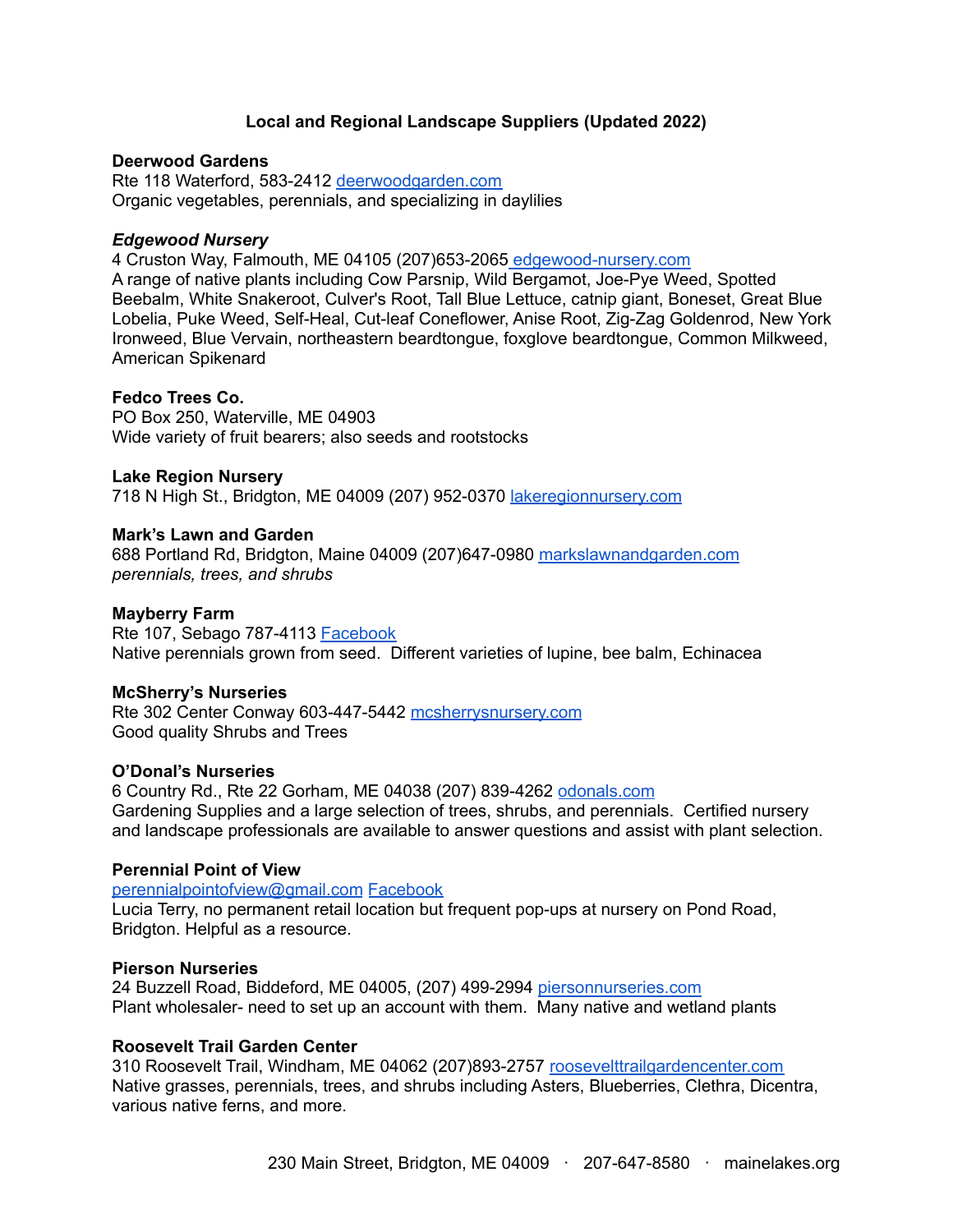# **Local and Regional Landscape Suppliers (Updated 2022)**

#### **Deerwood Gardens**

Rte 118 Waterford, 583-2412 [deerwoodgarden.com](http://deerwoodgarden.com/) Organic vegetables, perennials, and specializing in daylilies

#### *Edgewood Nursery*

4 Cruston Way, Falmouth, ME 04105 (207)653-2065 [edgewood-nursery.com](https://edgewood-nursery.com/) A range of native plants including Cow Parsnip, Wild Bergamot, Joe-Pye Weed, Spotted Beebalm, White Snakeroot, Culver's Root, Tall Blue Lettuce, catnip giant, Boneset, Great Blue Lobelia, Puke Weed, Self-Heal, Cut-leaf Coneflower, Anise Root, Zig-Zag Goldenrod, New York Ironweed, Blue Vervain, northeastern beardtongue, foxglove beardtongue, Common Milkweed, American Spikenard

#### **Fedco Trees Co.**

PO Box 250, Waterville, ME 04903 Wide variety of fruit bearers; also seeds and rootstocks

#### **Lake Region Nursery**

718 N High St., Bridgton, ME 04009 (207) 952-0370 [lakeregionnursery.com](https://www.allbiz.com/business/lake-region-nursery-207-952-0370)

#### **Mark's Lawn and Garden**

688 Portland Rd, Bridgton, Maine 04009 (207)647-0980 [markslawnandgarden.com](http://markslawnandgarden.com/) *perennials, trees, and shrubs*

#### **Mayberry Farm**

Rte 107, Sebago 787-4113 [Facebook](https://www.facebook.com/mayberryfarm.sebago/) Native perennials grown from seed. Different varieties of lupine, bee balm, Echinacea

#### **McSherry's Nurseries**

Rte 302 Center Conway 603-447-5442 [mcsherrysnursery.com](https://www.mcsherrysnursery.com/) Good quality Shrubs and Trees

#### **O'Donal's Nurseries**

6 Country Rd., Rte 22 Gorham, ME 04038 (207) 839-4262 [odonals.com](https://odonals.com/) Gardening Supplies and a large selection of trees, shrubs, and perennials. Certified nursery and landscape professionals are available to answer questions and assist with plant selection.

#### **Perennial Point of View**

[perennialpointofview@gmail.com](mailto:perennialpointofview@gmail.com) [Facebook](https://www.facebook.com/perennialpointofview/) Lucia Terry, no permanent retail location but frequent pop-ups at nursery on Pond Road, Bridgton. Helpful as a resource.

#### **Pierson Nurseries**

24 Buzzell Road, Biddeford, ME 04005, (207) 499-2994 [piersonnurseries.com](https://www.piersonnurseries.com/) Plant wholesaler- need to set up an account with them. Many native and wetland plants

#### **Roosevelt Trail Garden Center**

310 Roosevelt Trail, Windham, ME 04062 (207)893-2757 [roosevelttrailgardencenter.com](https://roosevelttrailgardencenter.com/) Native grasses, perennials, trees, and shrubs including Asters, Blueberries, Clethra, Dicentra, various native ferns, and more.